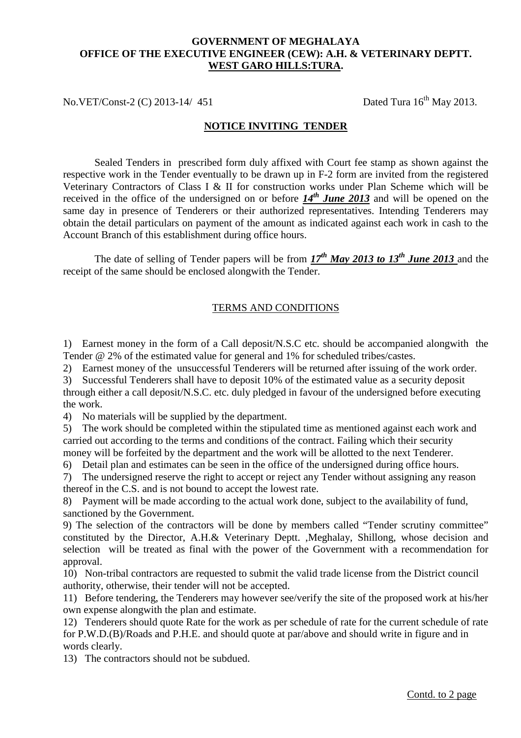## **GOVERNMENT OF MEGHALAYA OFFICE OF THE EXECUTIVE ENGINEER (CEW): A.H. & VETERINARY DEPTT. WEST GARO HILLS:TURA.**

No.VET/Const-2 (C) 2013-14/ 451 Dated Tura  $16^{th}$  May 2013.

## **NOTICE INVITING TENDER**

 Sealed Tenders in prescribed form duly affixed with Court fee stamp as shown against the respective work in the Tender eventually to be drawn up in F-2 form are invited from the registered Veterinary Contractors of Class I & II for construction works under Plan Scheme which will be received in the office of the undersigned on or before *14th June 2013* and will be opened on the same day in presence of Tenderers or their authorized representatives. Intending Tenderers may obtain the detail particulars on payment of the amount as indicated against each work in cash to the Account Branch of this establishment during office hours.

 receipt of the same should be enclosed alongwith the Tender. The date of selling of Tender papers will be from  $17^{th}$  May 2013 to 13<sup>th</sup> June 2013 and the

## TERMS AND CONDITIONS

 1) Earnest money in the form of a Call deposit/N.S.C etc. should be accompanied alongwith the Tender @ 2% of the estimated value for general and 1% for scheduled tribes/castes.

2) Earnest money of the unsuccessful Tenderers will be returned after issuing of the work order.

 3) Successful Tenderers shall have to deposit 10% of the estimated value as a security deposit through either a call deposit/N.S.C. etc. duly pledged in favour of the undersigned before executing the work.

4) No materials will be supplied by the department.

 5) The work should be completed within the stipulated time as mentioned against each work and carried out according to the terms and conditions of the contract. Failing which their security money will be forfeited by the department and the work will be allotted to the next Tenderer.

6) Detail plan and estimates can be seen in the office of the undersigned during office hours.

 7) The undersigned reserve the right to accept or reject any Tender without assigning any reason thereof in the C.S. and is not bound to accept the lowest rate.

 8) Payment will be made according to the actual work done, subject to the availability of fund, sanctioned by the Government.

 9) The selection of the contractors will be done by members called "Tender scrutiny committee" constituted by the Director, A.H.& Veterinary Deptt. ,Meghalay, Shillong, whose decision and selection will be treated as final with the power of the Government with a recommendation for approval.

 10) Non-tribal contractors are requested to submit the valid trade license from the District council authority, otherwise, their tender will not be accepted.

 11) Before tendering, the Tenderers may however see/verify the site of the proposed work at his/her own expense alongwith the plan and estimate.

 12) Tenderers should quote Rate for the work as per schedule of rate for the current schedule of rate for P.W.D.(B)/Roads and P.H.E. and should quote at par/above and should write in figure and in words clearly.

13) The contractors should not be subdued.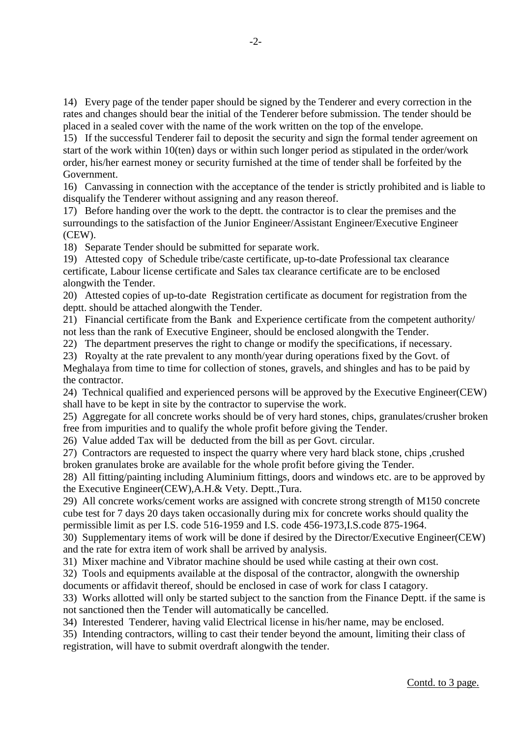14) Every page of the tender paper should be signed by the Tenderer and every correction in the rates and changes should bear the initial of the Tenderer before submission. The tender should be placed in a sealed cover with the name of the work written on the top of the envelope.

 15) If the successful Tenderer fail to deposit the security and sign the formal tender agreement on start of the work within 10(ten) days or within such longer period as stipulated in the order/work order, his/her earnest money or security furnished at the time of tender shall be forfeited by the Government.

 16) Canvassing in connection with the acceptance of the tender is strictly prohibited and is liable to disqualify the Tenderer without assigning and any reason thereof.

 17) Before handing over the work to the deptt. the contractor is to clear the premises and the surroundings to the satisfaction of the Junior Engineer/Assistant Engineer/Executive Engineer (CEW).

18) Separate Tender should be submitted for separate work.

 19) Attested copy of Schedule tribe/caste certificate, up-to-date Professional tax clearance certificate, Labour license certificate and Sales tax clearance certificate are to be enclosed alongwith the Tender.

 20) Attested copies of up-to-date Registration certificate as document for registration from the deptt. should be attached alongwith the Tender.

 21) Financial certificate from the Bank and Experience certificate from the competent authority/ not less than the rank of Executive Engineer, should be enclosed alongwith the Tender.

22) The department preserves the right to change or modify the specifications, if necessary.

 23) Royalty at the rate prevalent to any month/year during operations fixed by the Govt. of Meghalaya from time to time for collection of stones, gravels, and shingles and has to be paid by the contractor.

 24) Technical qualified and experienced persons will be approved by the Executive Engineer(CEW) shall have to be kept in site by the contractor to supervise the work.

 25) Aggregate for all concrete works should be of very hard stones, chips, granulates/crusher broken free from impurities and to qualify the whole profit before giving the Tender.

26) Value added Tax will be deducted from the bill as per Govt. circular.

 27) Contractors are requested to inspect the quarry where very hard black stone, chips ,crushed broken granulates broke are available for the whole profit before giving the Tender.

 28) All fitting/painting including Aluminium fittings, doors and windows etc. are to be approved by the Executive Engineer(CEW),A.H.& Vety. Deptt.,Tura.

 29) All concrete works/cement works are assigned with concrete strong strength of M150 concrete cube test for 7 days 20 days taken occasionally during mix for concrete works should quality the permissible limit as per I.S. code 516-1959 and I.S. code 456-1973,I.S.code 875-1964.

 30) Supplementary items of work will be done if desired by the Director/Executive Engineer(CEW) and the rate for extra item of work shall be arrived by analysis.

31) Mixer machine and Vibrator machine should be used while casting at their own cost.

 32) Tools and equipments available at the disposal of the contractor, alongwith the ownership documents or affidavit thereof, should be enclosed in case of work for class I catagory.

 33) Works allotted will only be started subject to the sanction from the Finance Deptt. if the same is not sanctioned then the Tender will automatically be cancelled.

34) Interested Tenderer, having valid Electrical license in his/her name, may be enclosed.

 35) Intending contractors, willing to cast their tender beyond the amount, limiting their class of registration, will have to submit overdraft alongwith the tender.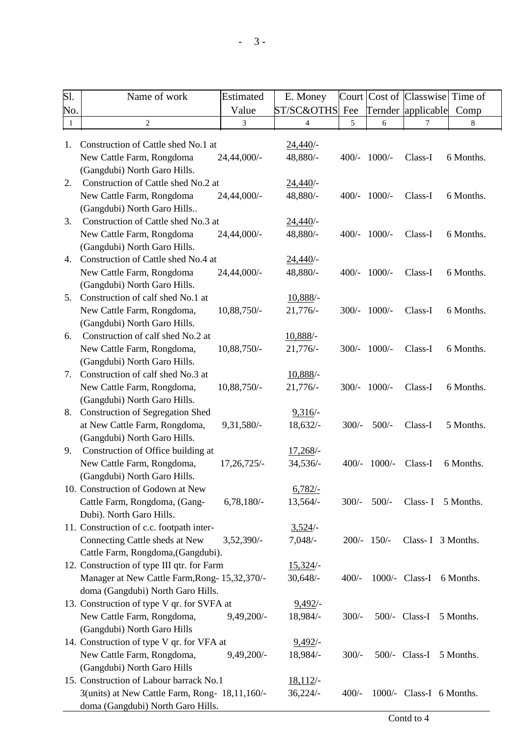| Sl.          | Name of work                                   | Estimated    | E. Money    |         |               | Court Cost of Classwise Time of |           |
|--------------|------------------------------------------------|--------------|-------------|---------|---------------|---------------------------------|-----------|
| No.          |                                                | Value        | ST/SC&OTHS  | Fee     |               | Ternder applicable              | Comp      |
| $\mathbf{1}$ | $\overline{c}$                                 | 3            | 4           | 5       | 6             | 7                               | 8         |
|              |                                                |              |             |         |               |                                 |           |
| 1.           | Construction of Cattle shed No.1 at            |              | 24,440/     |         |               |                                 |           |
|              | New Cattle Farm, Rongdoma                      | 24,44,000/-  | 48,880/-    | $400/-$ | $1000/-$      | Class-I                         | 6 Months. |
|              | (Gangdubi) North Garo Hills.                   |              |             |         |               |                                 |           |
| 2.           | Construction of Cattle shed No.2 at            |              | 24,440/     |         |               |                                 |           |
|              | New Cattle Farm, Rongdoma                      | 24,44,000/-  | 48,880/-    | 400/-   | $1000/-$      | Class-I                         | 6 Months. |
|              | (Gangdubi) North Garo Hills                    |              |             |         |               |                                 |           |
| 3.           | Construction of Cattle shed No.3 at            |              | 24,440/     |         |               |                                 |           |
|              | New Cattle Farm, Rongdoma                      | 24,44,000/-  | 48,880/-    | $400/-$ | $1000/-$      | Class-I                         | 6 Months. |
|              | (Gangdubi) North Garo Hills.                   |              |             |         |               |                                 |           |
| 4.           | Construction of Cattle shed No.4 at            |              | 24,440/     |         |               |                                 |           |
|              | New Cattle Farm, Rongdoma                      | 24,44,000/-  | 48,880/-    | $400/-$ | $1000/-$      | Class-I                         | 6 Months. |
|              | (Gangdubi) North Garo Hills.                   |              |             |         |               |                                 |           |
| 5.           | Construction of calf shed No.1 at              |              | $10,888/$ - |         |               |                                 |           |
|              | New Cattle Farm, Rongdoma,                     | 10,88,750/-  | $21,776/$ - | $300/-$ | $1000/-$      | Class-I                         | 6 Months. |
|              | (Gangdubi) North Garo Hills.                   |              |             |         |               |                                 |           |
| 6.           | Construction of calf shed No.2 at              |              | 10,888/-    |         |               |                                 |           |
|              | New Cattle Farm, Rongdoma,                     | 10,88,750/-  | 21,776/     | $300/-$ | $1000/-$      | Class-I                         | 6 Months. |
|              | (Gangdubi) North Garo Hills.                   |              |             |         |               |                                 |           |
| 7.           | Construction of calf shed No.3 at              |              | $10,888/$ - |         |               |                                 |           |
|              | New Cattle Farm, Rongdoma,                     | 10,88,750/-  | 21,776/-    | $300/-$ | $1000/-$      | Class-I                         | 6 Months. |
|              | (Gangdubi) North Garo Hills.                   |              |             |         |               |                                 |           |
| 8.           | <b>Construction of Segregation Shed</b>        |              | 9,316/      |         |               |                                 |           |
|              | at New Cattle Farm, Rongdoma,                  | 9,31,580/-   | $18,632/-$  | $300/-$ | $500/-$       | Class-I                         | 5 Months. |
|              | (Gangdubi) North Garo Hills.                   |              |             |         |               |                                 |           |
| 9.           | Construction of Office building at             |              | $17,268/$ - |         |               |                                 |           |
|              | New Cattle Farm, Rongdoma,                     | 17,26,725/-  | 34,536/-    | $400/-$ | $1000/-$      | Class-I                         | 6 Months. |
|              | (Gangdubi) North Garo Hills.                   |              |             |         |               |                                 |           |
|              | 10. Construction of Godown at New              |              | $6,782/-$   |         |               |                                 |           |
|              | Cattle Farm, Rongdoma, (Gang-                  | $6,78,180/-$ | 13,564/-    | $300/-$ | $500/-$       | $Class-1$                       | 5 Months. |
|              | Dubi). North Garo Hills.                       |              |             |         |               |                                 |           |
|              | 11. Construction of c.c. footpath inter-       |              | 3,524/      |         |               |                                 |           |
|              | Connecting Cattle sheds at New                 | $3,52,390/-$ | $7,048/-$   |         | $200/- 150/-$ | Class-I 3 Months.               |           |
|              | Cattle Farm, Rongdoma, (Gangdubi).             |              |             |         |               |                                 |           |
|              | 12. Construction of type III qtr. for Farm     |              | 15,324/     |         |               |                                 |           |
|              | Manager at New Cattle Farm, Rong- 15,32,370/-  |              | $30,648/-$  | $400/-$ |               | 1000/- Class-I 6 Months.        |           |
|              | doma (Gangdubi) North Garo Hills.              |              |             |         |               |                                 |           |
|              | 13. Construction of type V qr. for SVFA at     |              | 9,492/      |         |               |                                 |           |
|              | New Cattle Farm, Rongdoma,                     | 9,49,200/-   | 18,984/-    | $300/-$ |               | $500/-$ Class-I                 | 5 Months. |
|              | (Gangdubi) North Garo Hills                    |              |             |         |               |                                 |           |
|              |                                                |              |             |         |               |                                 |           |
|              | 14. Construction of type V qr. for VFA at      |              | 9,492/      |         |               |                                 |           |
|              | New Cattle Farm, Rongdoma,                     | $9,49,200/-$ | 18,984/-    | $300/-$ | 500/-         | Class-I                         | 5 Months. |
|              | (Gangdubi) North Garo Hills                    |              |             |         |               |                                 |           |
|              | 15. Construction of Labour barrack No.1        |              | 18,112/     |         |               |                                 |           |
|              | 3(units) at New Cattle Farm, Rong- 18,11,160/- |              | 36,224/     | $400/-$ |               | 1000/- Class-I 6 Months.        |           |
|              | doma (Gangdubi) North Garo Hills.              |              |             |         |               |                                 |           |